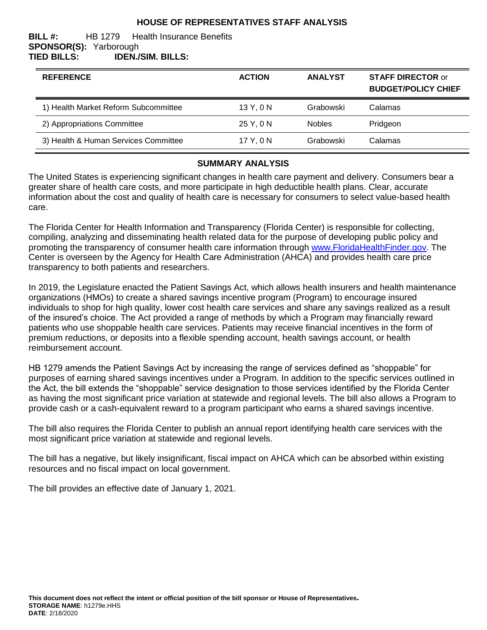#### **HOUSE OF REPRESENTATIVES STAFF ANALYSIS**

#### **BILL #:** HB 1279 Health Insurance Benefits **SPONSOR(S):** Yarborough **TIED BILLS: IDEN./SIM. BILLS:**

| <b>REFERENCE</b>                     | <b>ACTION</b> | <b>ANALYST</b> | <b>STAFF DIRECTOR or</b><br><b>BUDGET/POLICY CHIEF</b> |
|--------------------------------------|---------------|----------------|--------------------------------------------------------|
| 1) Health Market Reform Subcommittee | 13 Y, 0 N     | Grabowski      | Calamas                                                |
| 2) Appropriations Committee          | 25 Y, 0 N     | <b>Nobles</b>  | Pridgeon                                               |
| 3) Health & Human Services Committee | 17 Y, 0 N     | Grabowski      | Calamas                                                |

#### **SUMMARY ANALYSIS**

The United States is experiencing significant changes in health care payment and delivery. Consumers bear a greater share of health care costs, and more participate in high deductible health plans. Clear, accurate information about the cost and quality of health care is necessary for consumers to select value-based health care.

The Florida Center for Health Information and Transparency (Florida Center) is responsible for collecting, compiling, analyzing and disseminating health related data for the purpose of developing public policy and promoting the transparency of consumer health care information through [www.FloridaHealthFinder.gov.](http://www.floridahealthfinder.gov/index.html) The Center is overseen by the Agency for Health Care Administration (AHCA) and provides health care price transparency to both patients and researchers.

In 2019, the Legislature enacted the Patient Savings Act, which allows health insurers and health maintenance organizations (HMOs) to create a shared savings incentive program (Program) to encourage insured individuals to shop for high quality, lower cost health care services and share any savings realized as a result of the insured's choice. The Act provided a range of methods by which a Program may financially reward patients who use shoppable health care services. Patients may receive financial incentives in the form of premium reductions, or deposits into a flexible spending account, health savings account, or health reimbursement account.

HB 1279 amends the Patient Savings Act by increasing the range of services defined as "shoppable" for purposes of earning shared savings incentives under a Program. In addition to the specific services outlined in the Act, the bill extends the "shoppable" service designation to those services identified by the Florida Center as having the most significant price variation at statewide and regional levels. The bill also allows a Program to provide cash or a cash-equivalent reward to a program participant who earns a shared savings incentive.

The bill also requires the Florida Center to publish an annual report identifying health care services with the most significant price variation at statewide and regional levels.

The bill has a negative, but likely insignificant, fiscal impact on AHCA which can be absorbed within existing resources and no fiscal impact on local government.

The bill provides an effective date of January 1, 2021.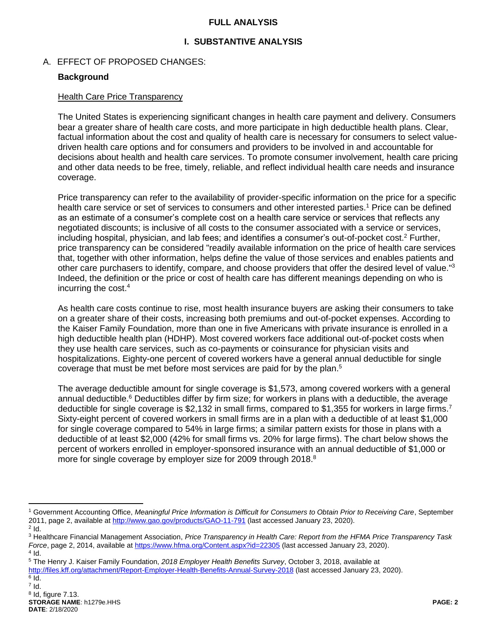#### **FULL ANALYSIS**

## **I. SUBSTANTIVE ANALYSIS**

#### A. EFFECT OF PROPOSED CHANGES:

#### **Background**

#### Health Care Price Transparency

The United States is experiencing significant changes in health care payment and delivery. Consumers bear a greater share of health care costs, and more participate in high deductible health plans. Clear, factual information about the cost and quality of health care is necessary for consumers to select valuedriven health care options and for consumers and providers to be involved in and accountable for decisions about health and health care services. To promote consumer involvement, health care pricing and other data needs to be free, timely, reliable, and reflect individual health care needs and insurance coverage.

Price transparency can refer to the availability of provider-specific information on the price for a specific health care service or set of services to consumers and other interested parties.<sup>1</sup> Price can be defined as an estimate of a consumer's complete cost on a health care service or services that reflects any negotiated discounts; is inclusive of all costs to the consumer associated with a service or services, including hospital, physician, and lab fees; and identifies a consumer's out-of-pocket cost.<sup>2</sup> Further, price transparency can be considered "readily available information on the price of health care services that, together with other information, helps define the value of those services and enables patients and other care purchasers to identify, compare, and choose providers that offer the desired level of value."<sup>3</sup> Indeed, the definition or the price or cost of health care has different meanings depending on who is incurring the cost.<sup>4</sup>

As health care costs continue to rise, most health insurance buyers are asking their consumers to take on a greater share of their costs, increasing both premiums and out-of-pocket expenses. According to the Kaiser Family Foundation, more than one in five Americans with private insurance is enrolled in a high deductible health plan (HDHP). Most covered workers face additional out-of-pocket costs when they use health care services, such as co-payments or coinsurance for physician visits and hospitalizations. Eighty-one percent of covered workers have a general annual deductible for single coverage that must be met before most services are paid for by the plan.<sup>5</sup>

The average deductible amount for single coverage is \$1,573, among covered workers with a general annual deductible.<sup>6</sup> Deductibles differ by firm size; for workers in plans with a deductible, the average deductible for single coverage is \$2,132 in small firms, compared to \$1,355 for workers in large firms.<sup>7</sup> Sixty-eight percent of covered workers in small firms are in a plan with a deductible of at least \$1,000 for single coverage compared to 54% in large firms; a similar pattern exists for those in plans with a deductible of at least \$2,000 (42% for small firms vs. 20% for large firms). The chart below shows the percent of workers enrolled in employer-sponsored insurance with an annual deductible of \$1,000 or more for single coverage by employer size for 2009 through 2018.<sup>8</sup>

 $\overline{a}$ 

<sup>1</sup> Government Accounting Office, *Meaningful Price Information is Difficult for Consumers to Obtain Prior to Receiving Care*, September 2011, page 2, available a[t http://www.gao.gov/products/GAO-11-791](http://www.gao.gov/products/GAO-11-791) (last accessed January 23, 2020).

 $2$  Id.

<sup>3</sup> Healthcare Financial Management Association, *Price Transparency in Health Care: Report from the HFMA Price Transparency Task Force*, page 2, 2014, available a[t https://www.hfma.org/Content.aspx?id=22305](https://www.hfma.org/Content.aspx?id=22305) (last accessed January 23, 2020).  $4$  Id.

<sup>5</sup> The Henry J. Kaiser Family Foundation, *2018 Employer Health Benefits Survey*, October 3, 2018, available at <http://files.kff.org/attachment/Report-Employer-Health-Benefits-Annual-Survey-2018> (last accessed January 23, 2020).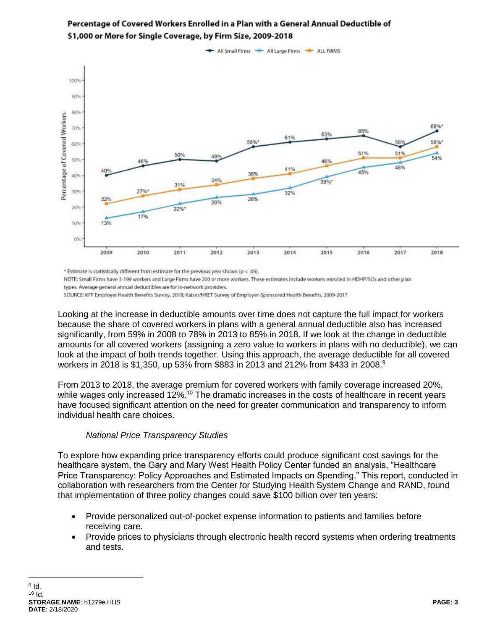

## Percentage of Covered Workers Enrolled in a Plan with a General Annual Deductible of \$1,000 or More for Single Coverage, by Firm Size, 2009-2018

\* Estimate is statistically different from estimate for the previous year shown (p < .05).

NOTE: Small Firms have 3-199 workers and Large Firms have 200 or more workers. These estimates include workers enrolled in HDHP/SOs and other plan types. Average general annual deductibles are for in-network providers.

SOURCE: KFF Employer Health Benefits Survey, 2018; Kaiser/HRET Survey of Employer-Sponsored Health Benefits, 2009-2017

Looking at the increase in deductible amounts over time does not capture the full impact for workers because the share of covered workers in plans with a general annual deductible also has increased significantly, from 59% in 2008 to 78% in 2013 to 85% in 2018. If we look at the change in deductible amounts for all covered workers (assigning a zero value to workers in plans with no deductible), we can look at the impact of both trends together. Using this approach, the average deductible for all covered workers in 2018 is \$1,350, up 53% from \$883 in 2013 and 212% from \$433 in 2008.<sup>9</sup>

From 2013 to 2018, the average premium for covered workers with family coverage increased 20%, while wages only increased 12%.<sup>10</sup> The dramatic increases in the costs of healthcare in recent years have focused significant attention on the need for greater communication and transparency to inform individual health care choices.

#### *National Price Transparency Studies*

To explore how expanding price transparency efforts could produce significant cost savings for the healthcare system, the Gary and Mary West Health Policy Center funded an analysis, "Healthcare Price Transparency: Policy Approaches and Estimated Impacts on Spending." This report, conducted in collaboration with researchers from the Center for Studying Health System Change and RAND, found that implementation of three policy changes could save \$100 billion over ten years:

- Provide personalized out-of-pocket expense information to patients and families before receiving care.
- Provide prices to physicians through electronic health record systems when ordering treatments and tests.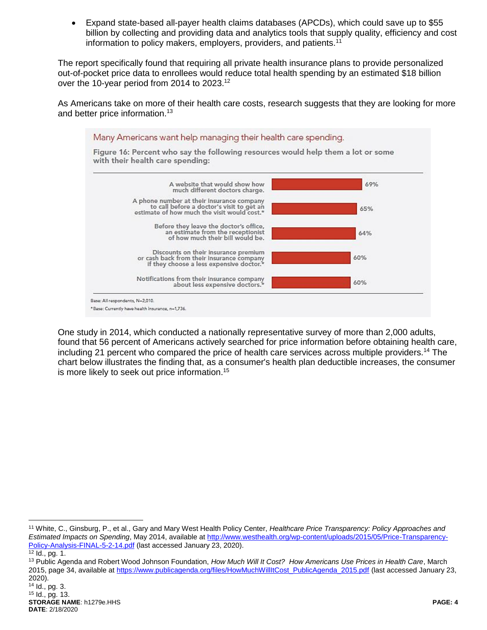Expand state-based all-payer health claims databases (APCDs), which could save up to \$55 billion by collecting and providing data and analytics tools that supply quality, efficiency and cost information to policy makers, employers, providers, and patients.<sup>11</sup>

The report specifically found that requiring all private health insurance plans to provide personalized out-of-pocket price data to enrollees would reduce total health spending by an estimated \$18 billion over the 10-year period from 2014 to 2023.<sup>12</sup>

As Americans take on more of their health care costs, research suggests that they are looking for more and better price information.<sup>13</sup>



One study in 2014, which conducted a nationally representative survey of more than 2,000 adults, found that 56 percent of Americans actively searched for price information before obtaining health care, including 21 percent who compared the price of health care services across multiple providers.<sup>14</sup> The chart below illustrates the finding that, as a consumer's health plan deductible increases, the consumer is more likely to seek out price information.<sup>15</sup>

 $\overline{a}$ 

<sup>11</sup> White, C., Ginsburg, P., et al., Gary and Mary West Health Policy Center, *Healthcare Price Transparency: Policy Approaches and Estimated Impacts on Spending*, May 2014, available a[t http://www.westhealth.org/wp-content/uploads/2015/05/Price-Transparency-](http://www.westhealth.org/wp-content/uploads/2015/05/Price-Transparency-Policy-Analysis-FINAL-5-2-14.pdf)[Policy-Analysis-FINAL-5-2-14.pdf](http://www.westhealth.org/wp-content/uploads/2015/05/Price-Transparency-Policy-Analysis-FINAL-5-2-14.pdf) (last accessed January 23, 2020).

 $\frac{1}{12}$  Id., pg. 1.

<sup>13</sup> Public Agenda and Robert Wood Johnson Foundation, *How Much Will It Cost? How Americans Use Prices in Health Care*, March 2015, page 34, available a[t https://www.publicagenda.org/files/HowMuchWillItCost\\_PublicAgenda\\_2015.pdf](https://www.publicagenda.org/files/HowMuchWillItCost_PublicAgenda_2015.pdf) (last accessed January 23, 2020).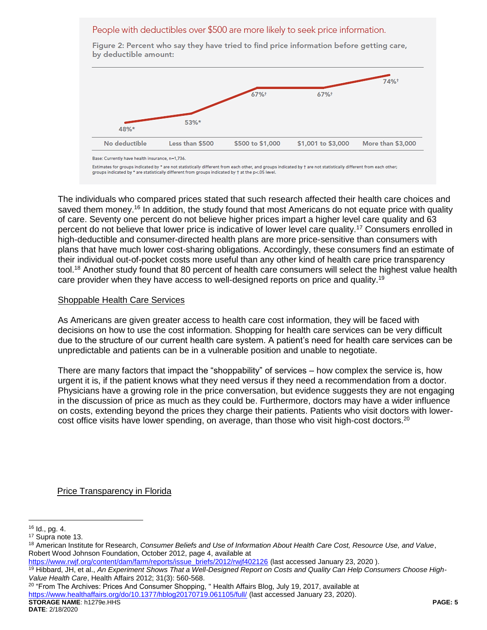#### People with deductibles over \$500 are more likely to seek price information.

by deductible amount: 74%+ 67%+ 67%+ 53%\* 48%\* No deductible Less than \$500 \$500 to \$1,000 \$1,001 to \$3,000 More than \$3,000

Figure 2: Percent who say they have tried to find price information before getting care,

Estimates for groups indicated by \* are not statistically different from each other, and groups indicated by + are not statistically different from each other; groups indicated by \* are statistically different from groups indicated by † at the p<.05 level.

The individuals who compared prices stated that such research affected their health care choices and saved them money.<sup>16</sup> In addition, the study found that most Americans do not equate price with quality of care. Seventy one percent do not believe higher prices impart a higher level care quality and 63 percent do not believe that lower price is indicative of lower level care quality.<sup>17</sup> Consumers enrolled in high-deductible and consumer-directed health plans are more price-sensitive than consumers with plans that have much lower cost-sharing obligations. Accordingly, these consumers find an estimate of their individual out-of-pocket costs more useful than any other kind of health care price transparency tool.<sup>18</sup> Another study found that 80 percent of health care consumers will select the highest value health care provider when they have access to well-designed reports on price and quality.<sup>19</sup>

#### Shoppable Health Care Services

As Americans are given greater access to health care cost information, they will be faced with decisions on how to use the cost information. Shopping for health care services can be very difficult due to the structure of our current health care system. A patient's need for health care services can be unpredictable and patients can be in a vulnerable position and unable to negotiate.

There are many factors that impact the "shoppability" of services – how complex the service is, how urgent it is, if the patient knows what they need versus if they need a recommendation from a doctor. Physicians have a growing role in the price conversation, but evidence suggests they are not engaging in the discussion of price as much as they could be. Furthermore, doctors may have a wider influence on costs, extending beyond the prices they charge their patients. Patients who visit doctors with lowercost office visits have lower spending, on average, than those who visit high-cost doctors.<sup>20</sup>

Price Transparency in Florida

 $\overline{a}$ 

**STORAGE NAME**: h1279e.HHS **PAGE: 5**  $20$  "From The Archives: Prices And Consumer Shopping, "Health Affairs Blog, July 19, 2017, available at <https://www.healthaffairs.org/do/10.1377/hblog20170719.061105/full/> (last accessed January 23, 2020).

Base: Currently have health insurance, n=1,736.

 $16$  Id., pg. 4.

<sup>17</sup> Supra note 13.

<sup>18</sup> American Institute for Research, *Consumer Beliefs and Use of Information About Health Care Cost, Resource Use, and Value*, Robert Wood Johnson Foundation, October 2012, page 4, available at

[https://www.rwjf.org/content/dam/farm/reports/issue\\_briefs/2012/rwjf402126](https://www.rwjf.org/content/dam/farm/reports/issue_briefs/2012/rwjf402126) (last accessed January 23, 2020 ).

<sup>19</sup> Hibbard, JH, et al., *An Experiment Shows That a Well-Designed Report on Costs and Quality Can Help Consumers Choose High-Value Health Care*, Health Affairs 2012; 31(3): 560-568.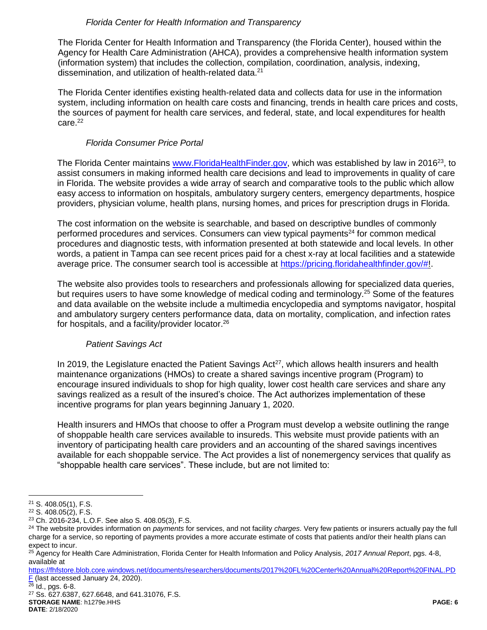#### *Florida Center for Health Information and Transparency*

The Florida Center for Health Information and Transparency (the Florida Center), housed within the Agency for Health Care Administration (AHCA), provides a comprehensive health information system (information system) that includes the collection, compilation, coordination, analysis, indexing, dissemination, and utilization of health-related data.<sup>21</sup>

The Florida Center identifies existing health-related data and collects data for use in the information system, including information on health care costs and financing, trends in health care prices and costs, the sources of payment for health care services, and federal, state, and local expenditures for health care. 22

## *Florida Consumer Price Portal*

The Florida Center maintains [www.FloridaHealthFinder.gov,](http://www.floridahealthfinder.gov/) which was established by law in 2016<sup>23</sup>, to assist consumers in making informed health care decisions and lead to improvements in quality of care in Florida. The website provides a wide array of search and comparative tools to the public which allow easy access to information on hospitals, ambulatory surgery centers, emergency departments, hospice providers, physician volume, health plans, nursing homes, and prices for prescription drugs in Florida.

The cost information on the website is searchable, and based on descriptive bundles of commonly performed procedures and services. Consumers can view typical payments<sup>24</sup> for common medical procedures and diagnostic tests, with information presented at both statewide and local levels. In other words, a patient in Tampa can see recent prices paid for a chest x-ray at local facilities and a statewide average price. The consumer search tool is accessible at [https://pricing.floridahealthfinder.gov/#!](https://pricing.floridahealthfinder.gov/).

The website also provides tools to researchers and professionals allowing for specialized data queries, but requires users to have some knowledge of medical coding and terminology.<sup>25</sup> Some of the features and data available on the website include a multimedia encyclopedia and symptoms navigator, hospital and ambulatory surgery centers performance data, data on mortality, complication, and infection rates for hospitals, and a facility/provider locator.<sup>26</sup>

## *Patient Savings Act*

In 2019, the Legislature enacted the Patient Savings  $Act^{27}$ , which allows health insurers and health maintenance organizations (HMOs) to create a shared savings incentive program (Program) to encourage insured individuals to shop for high quality, lower cost health care services and share any savings realized as a result of the insured's choice. The Act authorizes implementation of these incentive programs for plan years beginning January 1, 2020.

Health insurers and HMOs that choose to offer a Program must develop a website outlining the range of shoppable health care services available to insureds. This website must provide patients with an inventory of participating health care providers and an accounting of the shared savings incentives available for each shoppable service. The Act provides a list of nonemergency services that qualify as "shoppable health care services". These include, but are not limited to:

 $\frac{26}{26}$  Id., pgs. 6-8.

**STORAGE NAME**: h1279e.HHS **PAGE: 6 DATE**: 2/18/2020 <sup>27</sup> Ss. 627.6387, 627.6648, and 641.31076, F.S.

 $\overline{a}$ <sup>21</sup> S. 408.05(1), F.S.

<sup>22</sup> S. 408.05(2), F.S.

<sup>23</sup> Ch. 2016-234, L.O.F. See also S. 408.05(3), F.S.

<sup>24</sup> The website provides information on *payments* for services, and not facility *charges*. Very few patients or insurers actually pay the full charge for a service, so reporting of payments provides a more accurate estimate of costs that patients and/or their health plans can expect to incur.

<sup>25</sup> Agency for Health Care Administration, Florida Center for Health Information and Policy Analysis, *2017 Annual Report*, pgs. 4-8, available at

[https://fhfstore.blob.core.windows.net/documents/researchers/documents/2017%20FL%20Center%20Annual%20Report%20FINAL.PD](https://fhfstore.blob.core.windows.net/documents/researchers/documents/2017%20FL%20Center%20Annual%20Report%20FINAL.PDF) [F](https://fhfstore.blob.core.windows.net/documents/researchers/documents/2017%20FL%20Center%20Annual%20Report%20FINAL.PDF) (last accessed January 24, 2020).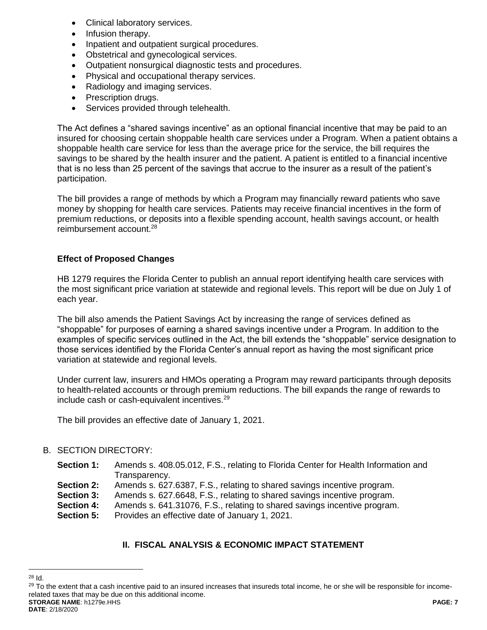- Clinical laboratory services.
- Infusion therapy.
- Inpatient and outpatient surgical procedures.
- Obstetrical and gynecological services.
- Outpatient nonsurgical diagnostic tests and procedures.
- Physical and occupational therapy services.
- Radiology and imaging services.
- Prescription drugs.
- Services provided through telehealth.

The Act defines a "shared savings incentive" as an optional financial incentive that may be paid to an insured for choosing certain shoppable health care services under a Program. When a patient obtains a shoppable health care service for less than the average price for the service, the bill requires the savings to be shared by the health insurer and the patient. A patient is entitled to a financial incentive that is no less than 25 percent of the savings that accrue to the insurer as a result of the patient's participation.

The bill provides a range of methods by which a Program may financially reward patients who save money by shopping for health care services. Patients may receive financial incentives in the form of premium reductions, or deposits into a flexible spending account, health savings account, or health reimbursement account.<sup>28</sup>

## **Effect of Proposed Changes**

HB 1279 requires the Florida Center to publish an annual report identifying health care services with the most significant price variation at statewide and regional levels. This report will be due on July 1 of each year.

The bill also amends the Patient Savings Act by increasing the range of services defined as "shoppable" for purposes of earning a shared savings incentive under a Program. In addition to the examples of specific services outlined in the Act, the bill extends the "shoppable" service designation to those services identified by the Florida Center's annual report as having the most significant price variation at statewide and regional levels.

Under current law, insurers and HMOs operating a Program may reward participants through deposits to health-related accounts or through premium reductions. The bill expands the range of rewards to include cash or cash-equivalent incentives.<sup>29</sup>

The bill provides an effective date of January 1, 2021.

## B. SECTION DIRECTORY:

- **Section 1:** Amends s. 408.05.012, F.S., relating to Florida Center for Health Information and Transparency.
- **Section 2:** Amends s. 627.6387, F.S., relating to shared savings incentive program.
- **Section 3:** Amends s. 627.6648, F.S., relating to shared savings incentive program.
- **Section 4:** Amends s. 641.31076, F.S., relating to shared savings incentive program.
- **Section 5:** Provides an effective date of January 1, 2021.

## **II. FISCAL ANALYSIS & ECONOMIC IMPACT STATEMENT**

 $\overline{a}$ <sup>28</sup> Id.

**STORAGE NAME**: h1279e.HHS **PAGE: 7** <sup>29</sup> To the extent that a cash incentive paid to an insured increases that insureds total income, he or she will be responsible for incomerelated taxes that may be due on this additional income.